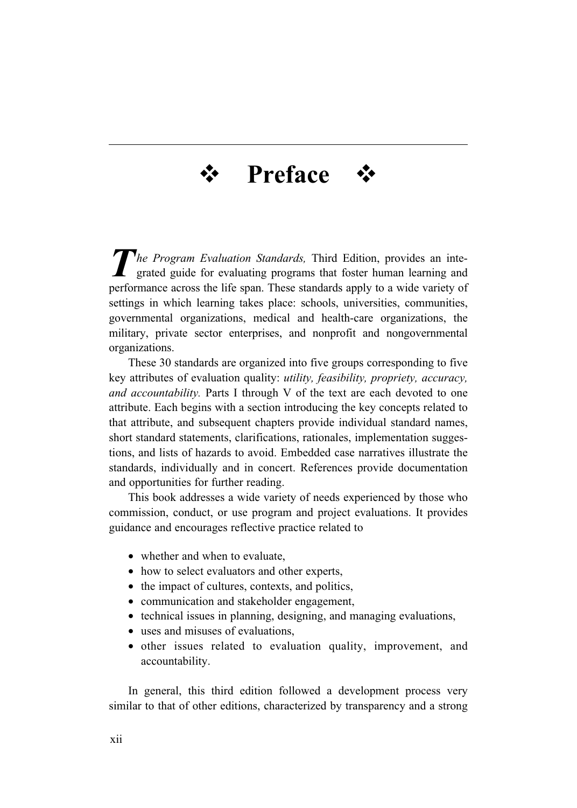## **Preface**

*The Program Evaluation Standards*, Third Edition, provides an integrated guide for evaluating programs that foster human learning and performance across the life span. These standards apply to a wide variety of settings in which learning takes place: schools, universities, communities, governmental organizations, medical and health-care organizations, the military, private sector enterprises, and nonprofit and nongovernmental organizations.

These 30 standards are organized into five groups corresponding to five key attributes of evaluation quality: *utility, feasibility, propriety, accuracy, and accountability.* Parts I through V of the text are each devoted to one attribute. Each begins with a section introducing the key concepts related to that attribute, and subsequent chapters provide individual standard names, short standard statements, clarifications, rationales, implementation suggestions, and lists of hazards to avoid. Embedded case narratives illustrate the standards, individually and in concert. References provide documentation and opportunities for further reading.

This book addresses a wide variety of needs experienced by those who commission, conduct, or use program and project evaluations. It provides guidance and encourages reflective practice related to

- whether and when to evaluate,
- how to select evaluators and other experts,
- the impact of cultures, contexts, and politics,
- communication and stakeholder engagement,
- technical issues in planning, designing, and managing evaluations,
- uses and misuses of evaluations.
- other issues related to evaluation quality, improvement, and accountability.

In general, this third edition followed a development process very similar to that of other editions, characterized by transparency and a strong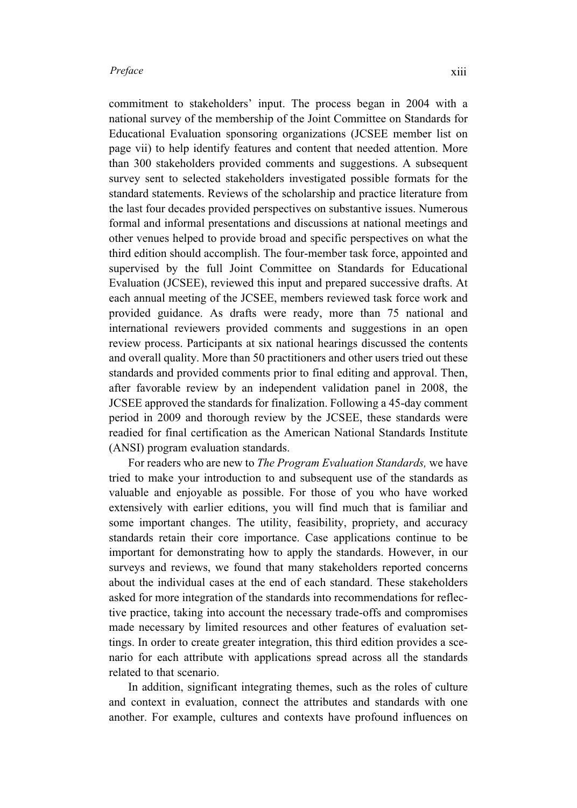commitment to stakeholders' input. The process began in 2004 with a national survey of the membership of the Joint Committee on Standards for Educational Evaluation sponsoring organizations (JCSEE member list on page vii) to help identify features and content that needed attention. More than 300 stakeholders provided comments and suggestions. A subsequent survey sent to selected stakeholders investigated possible formats for the standard statements. Reviews of the scholarship and practice literature from the last four decades provided perspectives on substantive issues. Numerous formal and informal presentations and discussions at national meetings and other venues helped to provide broad and specific perspectives on what the third edition should accomplish. The four-member task force, appointed and supervised by the full Joint Committee on Standards for Educational Evaluation (JCSEE), reviewed this input and prepared successive drafts. At each annual meeting of the JCSEE, members reviewed task force work and provided guidance. As drafts were ready, more than 75 national and international reviewers provided comments and suggestions in an open review process. Participants at six national hearings discussed the contents and overall quality. More than 50 practitioners and other users tried out these standards and provided comments prior to final editing and approval. Then, after favorable review by an independent validation panel in 2008, the JCSEE approved the standards for finalization. Following a 45-day comment period in 2009 and thorough review by the JCSEE, these standards were readied for final certification as the American National Standards Institute (ANSI) program evaluation standards.

For readers who are new to *The Program Evaluation Standards,* we have tried to make your introduction to and subsequent use of the standards as valuable and enjoyable as possible. For those of you who have worked extensively with earlier editions, you will find much that is familiar and some important changes. The utility, feasibility, propriety, and accuracy standards retain their core importance. Case applications continue to be important for demonstrating how to apply the standards. However, in our surveys and reviews, we found that many stakeholders reported concerns about the individual cases at the end of each standard. These stakeholders asked for more integration of the standards into recommendations for reflective practice, taking into account the necessary trade-offs and compromises made necessary by limited resources and other features of evaluation settings. In order to create greater integration, this third edition provides a scenario for each attribute with applications spread across all the standards related to that scenario.

In addition, significant integrating themes, such as the roles of culture and context in evaluation, connect the attributes and standards with one another. For example, cultures and contexts have profound influences on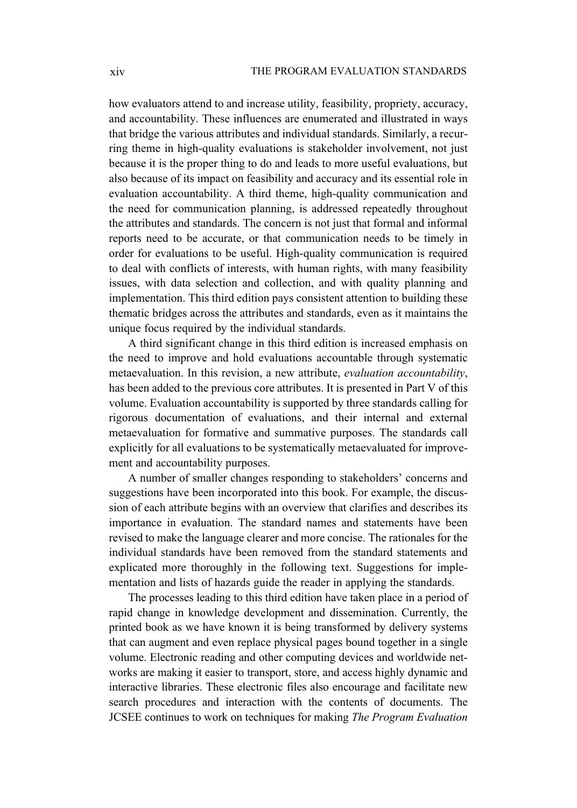how evaluators attend to and increase utility, feasibility, propriety, accuracy, and accountability. These influences are enumerated and illustrated in ways that bridge the various attributes and individual standards. Similarly, a recurring theme in high-quality evaluations is stakeholder involvement, not just because it is the proper thing to do and leads to more useful evaluations, but also because of its impact on feasibility and accuracy and its essential role in evaluation accountability. A third theme, high-quality communication and the need for communication planning, is addressed repeatedly throughout the attributes and standards. The concern is not just that formal and informal reports need to be accurate, or that communication needs to be timely in order for evaluations to be useful. High-quality communication is required to deal with conflicts of interests, with human rights, with many feasibility issues, with data selection and collection, and with quality planning and implementation. This third edition pays consistent attention to building these thematic bridges across the attributes and standards, even as it maintains the unique focus required by the individual standards.

A third significant change in this third edition is increased emphasis on the need to improve and hold evaluations accountable through systematic metaevaluation. In this revision, a new attribute, *evaluation accountability*, has been added to the previous core attributes. It is presented in Part V of this volume. Evaluation accountability is supported by three standards calling for rigorous documentation of evaluations, and their internal and external metaevaluation for formative and summative purposes. The standards call explicitly for all evaluations to be systematically metaevaluated for improvement and accountability purposes.

A number of smaller changes responding to stakeholders' concerns and suggestions have been incorporated into this book. For example, the discussion of each attribute begins with an overview that clarifies and describes its importance in evaluation. The standard names and statements have been revised to make the language clearer and more concise. The rationales for the individual standards have been removed from the standard statements and explicated more thoroughly in the following text. Suggestions for implementation and lists of hazards guide the reader in applying the standards.

The processes leading to this third edition have taken place in a period of rapid change in knowledge development and dissemination. Currently, the printed book as we have known it is being transformed by delivery systems that can augment and even replace physical pages bound together in a single volume. Electronic reading and other computing devices and worldwide networks are making it easier to transport, store, and access highly dynamic and interactive libraries. These electronic files also encourage and facilitate new search procedures and interaction with the contents of documents. The JCSEE continues to work on techniques for making *The Program Evaluation*